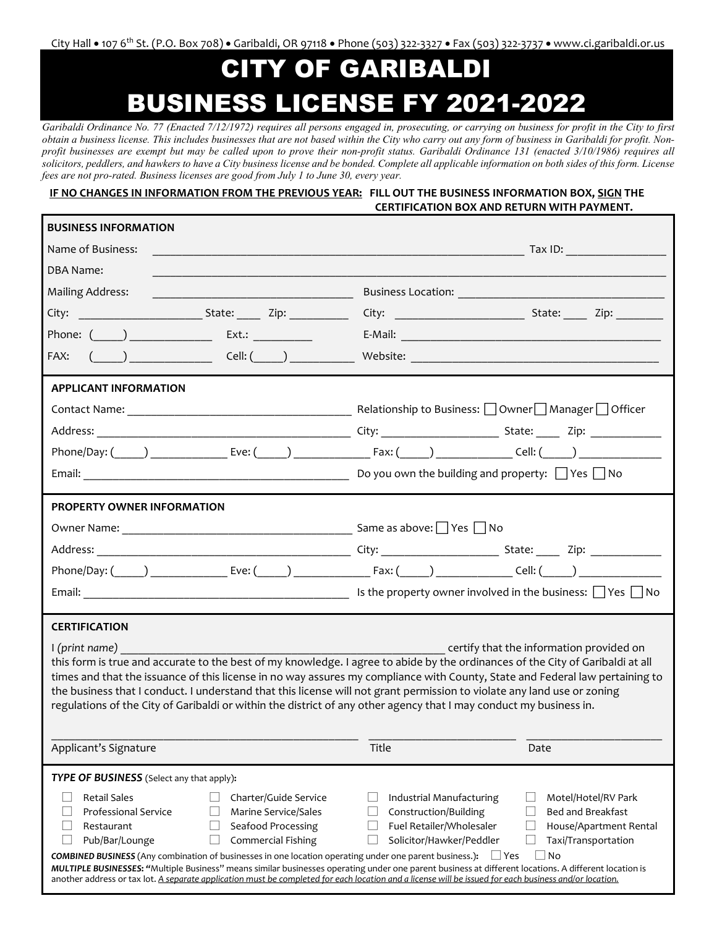City Hall • 107 6th St. (P.O. Box 708) • Garibaldi, OR 97118 • Phone (503) 322-3327 • Fax (503) 322-3737 • www.ci.garibaldi.or.us

## CITY OF GARIBALDI BUSINESS LICENSE FY 2021-2022

*Garibaldi Ordinance No. 77 (Enacted 7/12/1972) requires all persons engaged in, prosecuting, or carrying on business for profit in the City to first obtain a business license. This includes businesses that are not based within the City who carry out any form of business in Garibaldi for profit. Nonprofit businesses are exempt but may be called upon to prove their non-profit status. Garibaldi Ordinance 131 (enacted 3/10/1986) requires all solicitors, peddlers, and hawkers to have a City business license and be bonded. Complete all applicable information on both sides of this form. License fees are not pro-rated. Business licenses are good from July 1 to June 30, every year.*

 **IF NO CHANGES IN INFORMATION FROM THE PREVIOUS YEAR: FILL OUT THE BUSINESS INFORMATION BOX, SIGN THE CERTIFICATION BOX AND RETURN WITH PAYMENT.**

| <b>BUSINESS INFORMATION</b>                                                                                                                                                                                                                                                                                     |                                                                                                                                                                                                                                |  |  |  |
|-----------------------------------------------------------------------------------------------------------------------------------------------------------------------------------------------------------------------------------------------------------------------------------------------------------------|--------------------------------------------------------------------------------------------------------------------------------------------------------------------------------------------------------------------------------|--|--|--|
| Name of Business:                                                                                                                                                                                                                                                                                               |                                                                                                                                                                                                                                |  |  |  |
| <b>DBA Name:</b>                                                                                                                                                                                                                                                                                                |                                                                                                                                                                                                                                |  |  |  |
| <b>Mailing Address:</b>                                                                                                                                                                                                                                                                                         | Business Location: Note and Separate and Separate and Separate and Separate and Separate and Separate and Separate and Separate and Separate and Separate and Separate and Separate and Separate and Separate and Separate and |  |  |  |
|                                                                                                                                                                                                                                                                                                                 |                                                                                                                                                                                                                                |  |  |  |
|                                                                                                                                                                                                                                                                                                                 |                                                                                                                                                                                                                                |  |  |  |
| FAX: $(\_)$ Cell: $(\_)$                                                                                                                                                                                                                                                                                        |                                                                                                                                                                                                                                |  |  |  |
| <b>APPLICANT INFORMATION</b>                                                                                                                                                                                                                                                                                    |                                                                                                                                                                                                                                |  |  |  |
|                                                                                                                                                                                                                                                                                                                 |                                                                                                                                                                                                                                |  |  |  |
|                                                                                                                                                                                                                                                                                                                 |                                                                                                                                                                                                                                |  |  |  |
|                                                                                                                                                                                                                                                                                                                 |                                                                                                                                                                                                                                |  |  |  |
|                                                                                                                                                                                                                                                                                                                 |                                                                                                                                                                                                                                |  |  |  |
| <b>PROPERTY OWNER INFORMATION</b>                                                                                                                                                                                                                                                                               |                                                                                                                                                                                                                                |  |  |  |
|                                                                                                                                                                                                                                                                                                                 |                                                                                                                                                                                                                                |  |  |  |
|                                                                                                                                                                                                                                                                                                                 |                                                                                                                                                                                                                                |  |  |  |
|                                                                                                                                                                                                                                                                                                                 |                                                                                                                                                                                                                                |  |  |  |
|                                                                                                                                                                                                                                                                                                                 |                                                                                                                                                                                                                                |  |  |  |
| <b>CERTIFICATION</b>                                                                                                                                                                                                                                                                                            |                                                                                                                                                                                                                                |  |  |  |
| certify that the information provided on<br>I (print name)                                                                                                                                                                                                                                                      |                                                                                                                                                                                                                                |  |  |  |
| this form is true and accurate to the best of my knowledge. I agree to abide by the ordinances of the City of Garibaldi at all<br>times and that the issuance of this license in no way assures my compliance with County, State and Federal law pertaining to                                                  |                                                                                                                                                                                                                                |  |  |  |
| the business that I conduct. I understand that this license will not grant permission to violate any land use or zoning                                                                                                                                                                                         |                                                                                                                                                                                                                                |  |  |  |
| regulations of the City of Garibaldi or within the district of any other agency that I may conduct my business in.                                                                                                                                                                                              |                                                                                                                                                                                                                                |  |  |  |
| Applicant's Signature                                                                                                                                                                                                                                                                                           | Title<br>Date                                                                                                                                                                                                                  |  |  |  |
| TYPE OF BUSINESS (Select any that apply):                                                                                                                                                                                                                                                                       |                                                                                                                                                                                                                                |  |  |  |
| <b>Retail Sales</b><br>Charter/Guide Service                                                                                                                                                                                                                                                                    | Industrial Manufacturing<br>Motel/Hotel/RV Park                                                                                                                                                                                |  |  |  |
| <b>Professional Service</b><br>Marine Service/Sales                                                                                                                                                                                                                                                             | Construction/Building<br><b>Bed and Breakfast</b>                                                                                                                                                                              |  |  |  |
| Seafood Processing<br>Restaurant<br>Pub/Bar/Lounge<br>Commercial Fishing                                                                                                                                                                                                                                        | Fuel Retailer/Wholesaler<br>House/Apartment Rental<br>Solicitor/Hawker/Peddler                                                                                                                                                 |  |  |  |
| Taxi/Transportation<br>No<br><b>COMBINED BUSINESS</b> (Any combination of businesses in one location operating under one parent business.):<br>$\Box$ Yes                                                                                                                                                       |                                                                                                                                                                                                                                |  |  |  |
| MULTIPLE BUSINESSES: "Multiple Business" means similar businesses operating under one parent business at different locations. A different location is<br>another address or tax lot. A separate application must be completed for each location and a license will be issued for each business and/or location. |                                                                                                                                                                                                                                |  |  |  |